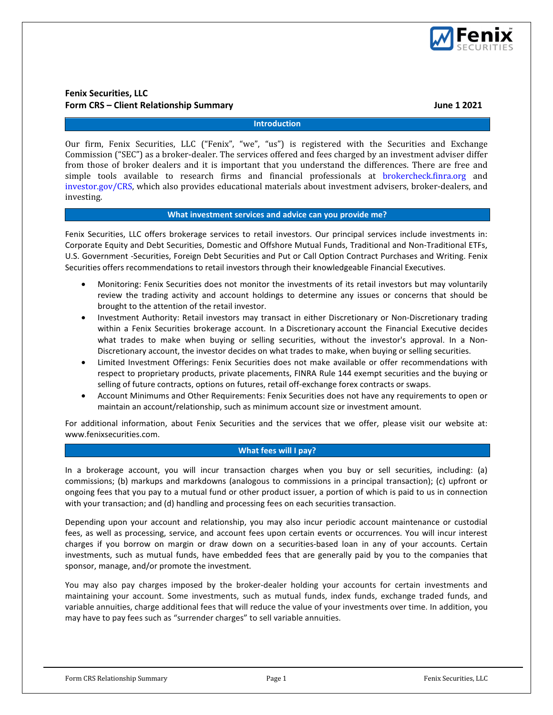

# Fenix Securities, LLC Form CRS – Client Relationship Summary June 1 2021

### Introduction

Our firm, Fenix Securities, LLC ("Fenix", "we", "us") is registered with the Securities and Exchange Commission ("SEC") as a broker-dealer. The services offered and fees charged by an investment adviser differ from those of broker dealers and it is important that you understand the differences. There are free and simple tools available to research firms and financial professionals at brokercheck.finra.org and investor.gov/CRS, which also provides educational materials about investment advisers, broker-dealers, and investing.

### What investment services and advice can you provide me?

Fenix Securities, LLC offers brokerage services to retail investors. Our principal services include investments in: Corporate Equity and Debt Securities, Domestic and Offshore Mutual Funds, Traditional and Non-Traditional ETFs, U.S. Government -Securities, Foreign Debt Securities and Put or Call Option Contract Purchases and Writing. Fenix Securities offers recommendations to retail investors through their knowledgeable Financial Executives.

- Monitoring: Fenix Securities does not monitor the investments of its retail investors but may voluntarily review the trading activity and account holdings to determine any issues or concerns that should be brought to the attention of the retail investor.
- Investment Authority: Retail investors may transact in either Discretionary or Non-Discretionary trading within a Fenix Securities brokerage account. In a Discretionary account the Financial Executive decides what trades to make when buying or selling securities, without the investor's approval. In a Non-Discretionary account, the investor decides on what trades to make, when buying or selling securities.
- Limited Investment Offerings: Fenix Securities does not make available or offer recommendations with respect to proprietary products, private placements, FINRA Rule 144 exempt securities and the buying or selling of future contracts, options on futures, retail off-exchange forex contracts or swaps.
- Account Minimums and Other Requirements: Fenix Securities does not have any requirements to open or maintain an account/relationship, such as minimum account size or investment amount.

For additional information, about Fenix Securities and the services that we offer, please visit our website at: www.fenixsecurities.com.

# What fees will I pay?

In a brokerage account, you will incur transaction charges when you buy or sell securities, including: (a) commissions; (b) markups and markdowns (analogous to commissions in a principal transaction); (c) upfront or ongoing fees that you pay to a mutual fund or other product issuer, a portion of which is paid to us in connection with your transaction; and (d) handling and processing fees on each securities transaction.

Depending upon your account and relationship, you may also incur periodic account maintenance or custodial fees, as well as processing, service, and account fees upon certain events or occurrences. You will incur interest charges if you borrow on margin or draw down on a securities-based loan in any of your accounts. Certain investments, such as mutual funds, have embedded fees that are generally paid by you to the companies that sponsor, manage, and/or promote the investment.

You may also pay charges imposed by the broker-dealer holding your accounts for certain investments and maintaining your account. Some investments, such as mutual funds, index funds, exchange traded funds, and variable annuities, charge additional fees that will reduce the value of your investments over time. In addition, you may have to pay fees such as "surrender charges" to sell variable annuities.